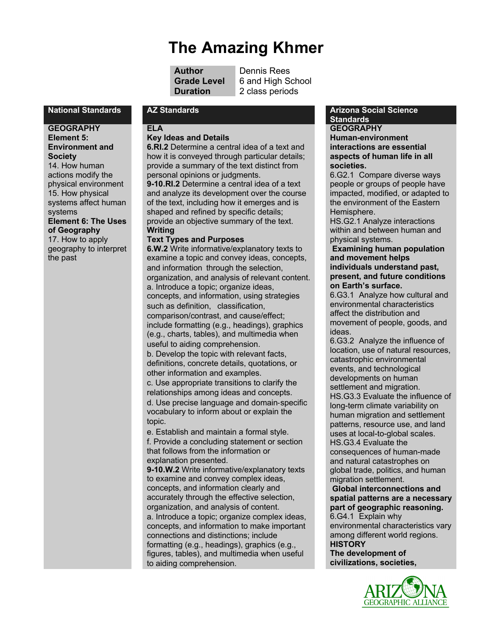# **The Amazing Khmer**

| Author            |
|-------------------|
| <b>Grade Leve</b> |
| <b>Duration</b>   |

**Dennis Rees 6 and High School** 2 class periods

#### **GEOGRAPHY**

**Element 5: Environment and Society**  14. How human actions modify the physical environment 15. How physical systems affect human

systems **Element 6: The Uses of Geography**  17. How to apply geography to interpret the past

#### **ELA Key Ideas and Details**

**6.RI.2** Determine a central idea of a text and how it is conveyed through particular details; provide a summary of the text distinct from personal opinions or judgments. **9-10.RI.2** Determine a central idea of a text and analyze its development over the course

of the text, including how it emerges and is shaped and refined by specific details; provide an objective summary of the text. **Writing** 

#### **Text Types and Purposes**

**6.W.2** Write informative/explanatory texts to examine a topic and convey ideas, concepts, and information through the selection, organization, and analysis of relevant content. a. Introduce a topic; organize ideas, concepts, and information, using strategies such as definition, classification, comparison/contrast, and cause/effect; include formatting (e.g., headings), graphics (e.g., charts, tables), and multimedia when useful to aiding comprehension. b. Develop the topic with relevant facts,

definitions, concrete details, quotations, or other information and examples.

c. Use appropriate transitions to clarify the relationships among ideas and concepts. d. Use precise language and domain-specific vocabulary to inform about or explain the topic.

e. Establish and maintain a formal style. f. Provide a concluding statement or section that follows from the information or explanation presented.

**9-10.W.2** Write informative/explanatory texts to examine and convey complex ideas, concepts, and information clearly and accurately through the effective selection, organization, and analysis of content. a. Introduce a topic; organize complex ideas, concepts, and information to make important connections and distinctions; include formatting (e.g., headings), graphics (e.g., figures, tables), and multimedia when useful to aiding comprehension.

#### **National Standards AZ Standards Arizona Social Science Standards**

**GEOGRAPHY Human-environment interactions are essential aspects of human life in all societies.**

6.G2.1 Compare diverse ways people or groups of people have impacted, modified, or adapted to the environment of the Eastern Hemisphere.

HS.G2.1 Analyze interactions within and between human and physical systems.

#### **Examining human population and movement helps individuals understand past, present, and future conditions on Earth's surface.**

6.G3.1 Analyze how cultural and environmental characteristics affect the distribution and movement of people, goods, and ideas.

6.G3.2 Analyze the influence of location, use of natural resources, catastrophic environmental events, and technological developments on human settlement and migration. HS.G3.3 Evaluate the influence of long-term climate variability on human migration and settlement patterns, resource use, and land uses at local-to-global scales. HS.G3.4 Evaluate the consequences of human-made and natural catastrophes on global trade, politics, and human migration settlement.

**Global interconnections and spatial patterns are a necessary part of geographic reasoning.**

6.G4.1 Explain why environmental characteristics vary among different world regions. **HISTORY**

**The development of civilizations, societies,** 

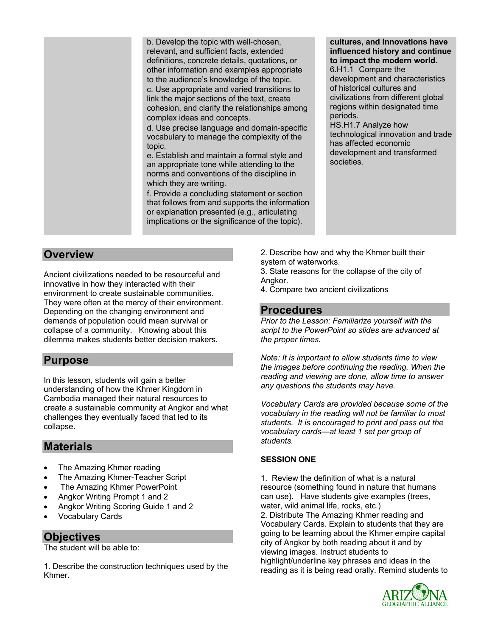b. Develop the topic with well-chosen, relevant, and sufficient facts, extended definitions, concrete details, quotations, or other information and examples appropriate to the audience's knowledge of the topic. c. Use appropriate and varied transitions to link the major sections of the text, create cohesion, and clarify the relationships among complex ideas and concepts.

d. Use precise language and domain-specific vocabulary to manage the complexity of the topic.

e. Establish and maintain a formal style and an appropriate tone while attending to the norms and conventions of the discipline in which they are writing.

f. Provide a concluding statement or section that follows from and supports the information or explanation presented (e.g., articulating implications or the significance of the topic).

### **cultures, and innovations have influenced history and continue to impact the modern world.**

6.H1.1 Compare the development and characteristics of historical cultures and civilizations from different global regions within designated time periods.

HS.H1.7 Analyze how technological innovation and trade has affected economic development and transformed societies.

## **Overview**

Ancient civilizations needed to be resourceful and innovative in how they interacted with their environment to create sustainable communities. They were often at the mercy of their environment. Depending on the changing environment and demands of population could mean survival or collapse of a community. Knowing about this dilemma makes students better decision makers.

## **Purpose**

In this lesson, students will gain a better understanding of how the Khmer Kingdom in Cambodia managed their natural resources to create a sustainable community at Angkor and what challenges they eventually faced that led to its collapse.

## **Materials**

- The Amazing Khmer reading
- The Amazing Khmer-Teacher Script
- The Amazing Khmer PowerPoint
- Angkor Writing Prompt 1 and 2
- Angkor Writing Scoring Guide 1 and 2
- Vocabulary Cards

## **Objectives**

The student will be able to:

1. Describe the construction techniques used by the Khmer.

2. Describe how and why the Khmer built their system of waterworks.

3. State reasons for the collapse of the city of Angkor.

4. Compare two ancient civilizations

## **Procedures**

*Prior to the Lesson: Familiarize yourself with the script to the PowerPoint so slides are advanced at the proper times.* 

*Note: It is important to allow students time to view the images before continuing the reading. When the reading and viewing are done, allow time to answer any questions the students may have.* 

*Vocabulary Cards are provided because some of the vocabulary in the reading will not be familiar to most students. It is encouraged to print and pass out the vocabulary cards—at least 1 set per group of students.*

### **SESSION ONE**

1. Review the definition of what is a natural resource (something found in nature that humans can use). Have students give examples (trees, water, wild animal life, rocks, etc.) 2. Distribute The Amazing Khmer reading and Vocabulary Cards. Explain to students that they are going to be learning about the Khmer empire capital city of Angkor by both reading about it and by viewing images. Instruct students to highlight/underline key phrases and ideas in the reading as it is being read orally. Remind students to